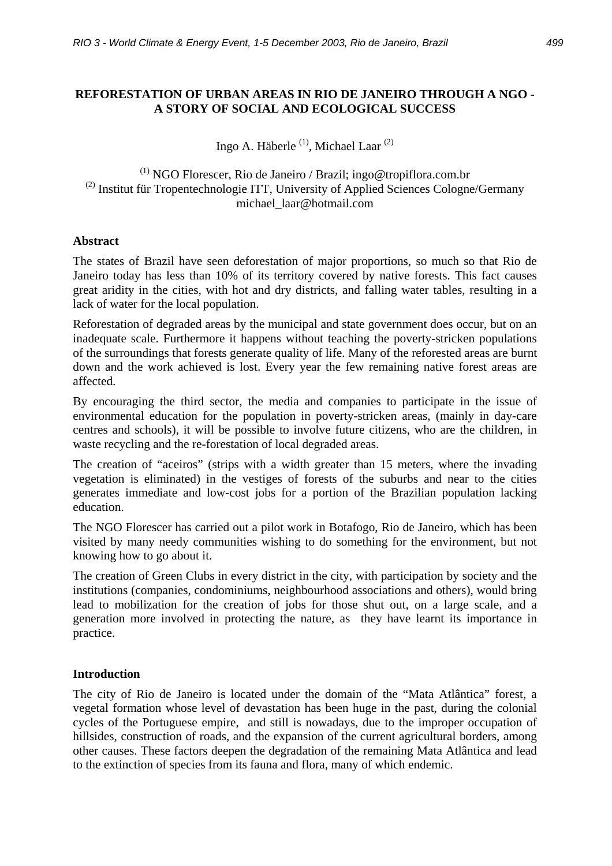#### **REFORESTATION OF URBAN AREAS IN RIO DE JANEIRO THROUGH A NGO - A STORY OF SOCIAL AND ECOLOGICAL SUCCESS**

Ingo A. Häberle (1), Michael Laar (2)

 $(1)$  NGO Florescer, Rio de Janeiro / Brazil; ingo@tropiflora.com.br  $^{(2)}$  Institut für Tropentechnologie ITT, University of Applied Sciences Cologne/Germany michael\_laar@hotmail.com

#### **Abstract**

The states of Brazil have seen deforestation of major proportions, so much so that Rio de Janeiro today has less than 10% of its territory covered by native forests. This fact causes great aridity in the cities, with hot and dry districts, and falling water tables, resulting in a lack of water for the local population.

Reforestation of degraded areas by the municipal and state government does occur, but on an inadequate scale. Furthermore it happens without teaching the poverty-stricken populations of the surroundings that forests generate quality of life. Many of the reforested areas are burnt down and the work achieved is lost. Every year the few remaining native forest areas are affected.

By encouraging the third sector, the media and companies to participate in the issue of environmental education for the population in poverty-stricken areas, (mainly in day-care centres and schools), it will be possible to involve future citizens, who are the children, in waste recycling and the re-forestation of local degraded areas.

The creation of "aceiros" (strips with a width greater than 15 meters, where the invading vegetation is eliminated) in the vestiges of forests of the suburbs and near to the cities generates immediate and low-cost jobs for a portion of the Brazilian population lacking education.

The NGO Florescer has carried out a pilot work in Botafogo, Rio de Janeiro, which has been visited by many needy communities wishing to do something for the environment, but not knowing how to go about it.

The creation of Green Clubs in every district in the city, with participation by society and the institutions (companies, condominiums, neighbourhood associations and others), would bring lead to mobilization for the creation of jobs for those shut out, on a large scale, and a generation more involved in protecting the nature, as they have learnt its importance in practice.

#### **Introduction**

The city of Rio de Janeiro is located under the domain of the "Mata Atlântica" forest, a vegetal formation whose level of devastation has been huge in the past, during the colonial cycles of the Portuguese empire, and still is nowadays, due to the improper occupation of hillsides, construction of roads, and the expansion of the current agricultural borders, among other causes. These factors deepen the degradation of the remaining Mata Atlântica and lead to the extinction of species from its fauna and flora, many of which endemic.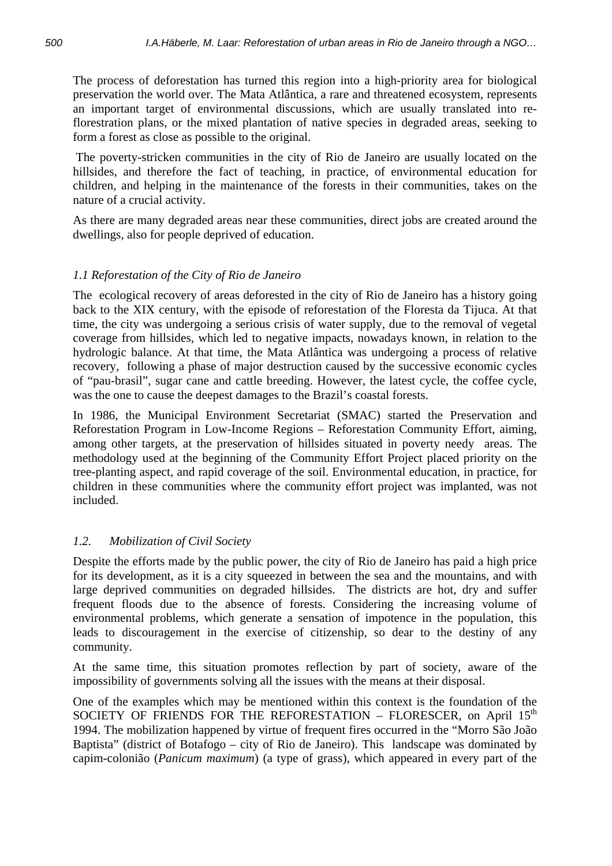The process of deforestation has turned this region into a high-priority area for biological preservation the world over. The Mata Atlântica, a rare and threatened ecosystem, represents an important target of environmental discussions, which are usually translated into reflorestration plans, or the mixed plantation of native species in degraded areas, seeking to form a forest as close as possible to the original.

 The poverty-stricken communities in the city of Rio de Janeiro are usually located on the hillsides, and therefore the fact of teaching, in practice, of environmental education for children, and helping in the maintenance of the forests in their communities, takes on the nature of a crucial activity.

As there are many degraded areas near these communities, direct jobs are created around the dwellings, also for people deprived of education.

# *1.1 Reforestation of the City of Rio de Janeiro*

The ecological recovery of areas deforested in the city of Rio de Janeiro has a history going back to the XIX century, with the episode of reforestation of the Floresta da Tijuca. At that time, the city was undergoing a serious crisis of water supply, due to the removal of vegetal coverage from hillsides, which led to negative impacts, nowadays known, in relation to the hydrologic balance. At that time, the Mata Atlântica was undergoing a process of relative recovery, following a phase of major destruction caused by the successive economic cycles of "pau-brasil", sugar cane and cattle breeding. However, the latest cycle, the coffee cycle, was the one to cause the deepest damages to the Brazil's coastal forests.

In 1986, the Municipal Environment Secretariat (SMAC) started the Preservation and Reforestation Program in Low-Income Regions – Reforestation Community Effort, aiming, among other targets, at the preservation of hillsides situated in poverty needy areas. The methodology used at the beginning of the Community Effort Project placed priority on the tree-planting aspect, and rapid coverage of the soil. Environmental education, in practice, for children in these communities where the community effort project was implanted, was not included.

## *1.2. Mobilization of Civil Society*

Despite the efforts made by the public power, the city of Rio de Janeiro has paid a high price for its development, as it is a city squeezed in between the sea and the mountains, and with large deprived communities on degraded hillsides. The districts are hot, dry and suffer frequent floods due to the absence of forests. Considering the increasing volume of environmental problems, which generate a sensation of impotence in the population, this leads to discouragement in the exercise of citizenship, so dear to the destiny of any community.

At the same time, this situation promotes reflection by part of society, aware of the impossibility of governments solving all the issues with the means at their disposal.

One of the examples which may be mentioned within this context is the foundation of the SOCIETY OF FRIENDS FOR THE REFORESTATION – FLORESCER, on April  $15<sup>th</sup>$ 1994. The mobilization happened by virtue of frequent fires occurred in the "Morro São João Baptista" (district of Botafogo – city of Rio de Janeiro). This landscape was dominated by capim-colonião (*Panicum maximum*) (a type of grass), which appeared in every part of the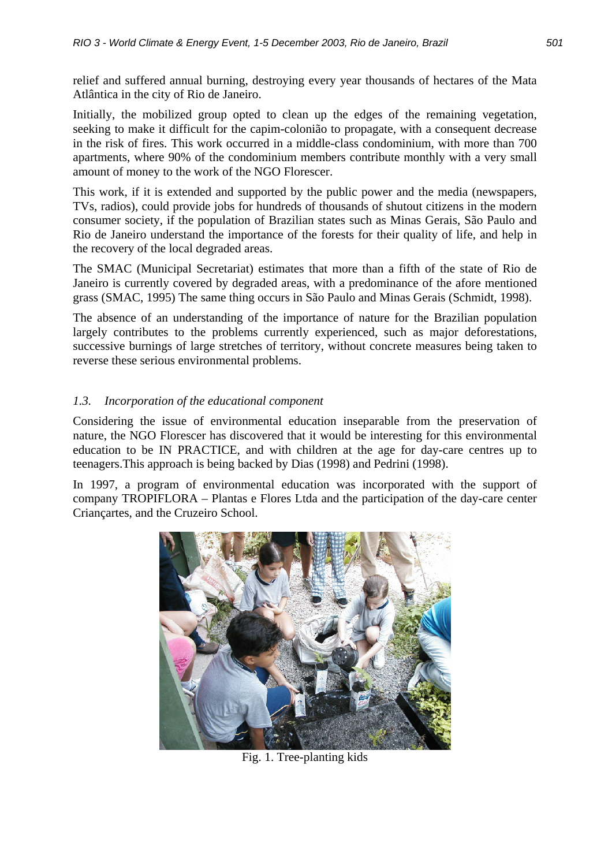relief and suffered annual burning, destroying every year thousands of hectares of the Mata Atlântica in the city of Rio de Janeiro.

Initially, the mobilized group opted to clean up the edges of the remaining vegetation, seeking to make it difficult for the capim-colonião to propagate, with a consequent decrease in the risk of fires. This work occurred in a middle-class condominium, with more than 700 apartments, where 90% of the condominium members contribute monthly with a very small amount of money to the work of the NGO Florescer.

This work, if it is extended and supported by the public power and the media (newspapers, TVs, radios), could provide jobs for hundreds of thousands of shutout citizens in the modern consumer society, if the population of Brazilian states such as Minas Gerais, São Paulo and Rio de Janeiro understand the importance of the forests for their quality of life, and help in the recovery of the local degraded areas.

The SMAC (Municipal Secretariat) estimates that more than a fifth of the state of Rio de Janeiro is currently covered by degraded areas, with a predominance of the afore mentioned grass (SMAC, 1995) The same thing occurs in São Paulo and Minas Gerais (Schmidt, 1998).

The absence of an understanding of the importance of nature for the Brazilian population largely contributes to the problems currently experienced, such as major deforestations, successive burnings of large stretches of territory, without concrete measures being taken to reverse these serious environmental problems.

# *1.3. Incorporation of the educational component*

Considering the issue of environmental education inseparable from the preservation of nature, the NGO Florescer has discovered that it would be interesting for this environmental education to be IN PRACTICE, and with children at the age for day-care centres up to teenagers.This approach is being backed by Dias (1998) and Pedrini (1998).

In 1997, a program of environmental education was incorporated with the support of company TROPIFLORA – Plantas e Flores Ltda and the participation of the day-care center Criançartes, and the Cruzeiro School.



Fig. 1. Tree-planting kids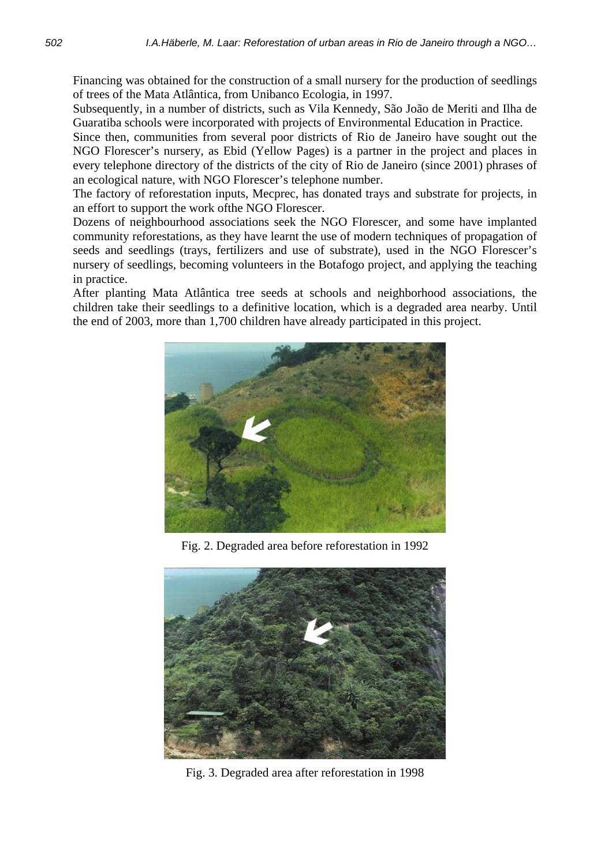Financing was obtained for the construction of a small nursery for the production of seedlings of trees of the Mata Atlântica, from Unibanco Ecologia, in 1997.

Subsequently, in a number of districts, such as Vila Kennedy, São João de Meriti and Ilha de Guaratiba schools were incorporated with projects of Environmental Education in Practice.

Since then, communities from several poor districts of Rio de Janeiro have sought out the NGO Florescer's nursery, as Ebid (Yellow Pages) is a partner in the project and places in every telephone directory of the districts of the city of Rio de Janeiro (since 2001) phrases of an ecological nature, with NGO Florescer's telephone number.

The factory of reforestation inputs, Mecprec, has donated trays and substrate for projects, in an effort to support the work ofthe NGO Florescer.

Dozens of neighbourhood associations seek the NGO Florescer, and some have implanted community reforestations, as they have learnt the use of modern techniques of propagation of seeds and seedlings (trays, fertilizers and use of substrate), used in the NGO Florescer's nursery of seedlings, becoming volunteers in the Botafogo project, and applying the teaching in practice.

After planting Mata Atlântica tree seeds at schools and neighborhood associations, the children take their seedlings to a definitive location, which is a degraded area nearby. Until the end of 2003, more than 1,700 children have already participated in this project.



Fig. 2. Degraded area before reforestation in 1992



Fig. 3. Degraded area after reforestation in 1998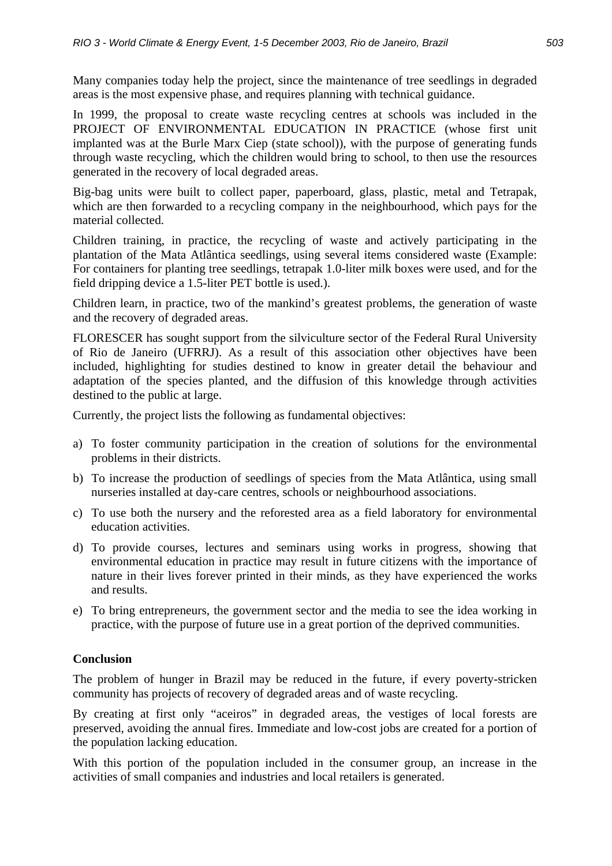Many companies today help the project, since the maintenance of tree seedlings in degraded areas is the most expensive phase, and requires planning with technical guidance.

In 1999, the proposal to create waste recycling centres at schools was included in the PROJECT OF ENVIRONMENTAL EDUCATION IN PRACTICE (whose first unit implanted was at the Burle Marx Ciep (state school)), with the purpose of generating funds through waste recycling, which the children would bring to school, to then use the resources generated in the recovery of local degraded areas.

Big-bag units were built to collect paper, paperboard, glass, plastic, metal and Tetrapak, which are then forwarded to a recycling company in the neighbourhood, which pays for the material collected.

Children training, in practice, the recycling of waste and actively participating in the plantation of the Mata Atlântica seedlings, using several items considered waste (Example: For containers for planting tree seedlings, tetrapak 1.0-liter milk boxes were used, and for the field dripping device a 1.5-liter PET bottle is used.).

Children learn, in practice, two of the mankind's greatest problems, the generation of waste and the recovery of degraded areas.

FLORESCER has sought support from the silviculture sector of the Federal Rural University of Rio de Janeiro (UFRRJ). As a result of this association other objectives have been included, highlighting for studies destined to know in greater detail the behaviour and adaptation of the species planted, and the diffusion of this knowledge through activities destined to the public at large.

Currently, the project lists the following as fundamental objectives:

- a) To foster community participation in the creation of solutions for the environmental problems in their districts.
- b) To increase the production of seedlings of species from the Mata Atlântica, using small nurseries installed at day-care centres, schools or neighbourhood associations.
- c) To use both the nursery and the reforested area as a field laboratory for environmental education activities.
- d) To provide courses, lectures and seminars using works in progress, showing that environmental education in practice may result in future citizens with the importance of nature in their lives forever printed in their minds, as they have experienced the works and results.
- e) To bring entrepreneurs, the government sector and the media to see the idea working in practice, with the purpose of future use in a great portion of the deprived communities.

#### **Conclusion**

The problem of hunger in Brazil may be reduced in the future, if every poverty-stricken community has projects of recovery of degraded areas and of waste recycling.

By creating at first only "aceiros" in degraded areas, the vestiges of local forests are preserved, avoiding the annual fires. Immediate and low-cost jobs are created for a portion of the population lacking education.

With this portion of the population included in the consumer group, an increase in the activities of small companies and industries and local retailers is generated.